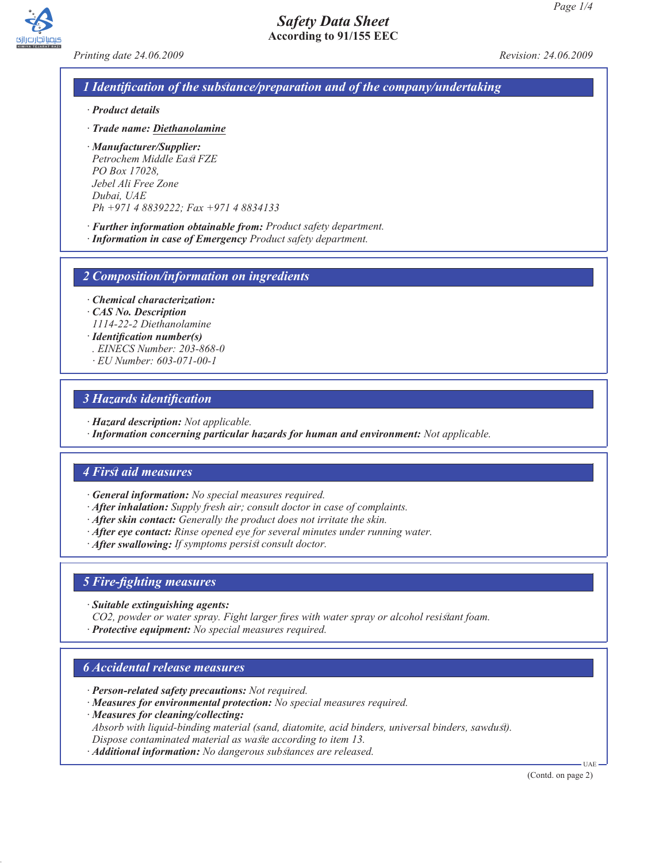

*Printing date 24.06.2009 Revision: 24.06.2009*

# *1 Identification of the substance/preparation and of the company/undertaking*

- *· Product details*
- *· Trade name: Diethanolamine*
- *· Manufacturer/Supplier: Petrochem Middle East FZE PO Box 17028, Jebel Ali Free Zone Dubai, UAE Ph +971 4 8839222; Fax +971 4 8834133*
- *· Further information obtainable from: Product safety department. · Information in case of Emergency Product safety department.*

*2 Composition/information on ingredients*

*· Chemical characterization:*

- *· CAS No. Description*
- *1114-22-2 Diethanolamine*
- *· Identification number(s) . EINECS Number: 203-868-0*
- *· EU Number: 603-071-00-1*

#### *3 Hazards identification*

- *· Hazard description: Not applicable.*
- *· Information concerning particular hazards for human and environment: Not applicable.*

#### *4 First aid measures*

- *· General information: No special measures required.*
- *· After inhalation: Supply fresh air; consult doctor in case of complaints.*
- *· After skin contact: Generally the product does not irritate the skin.*
- *· After eye contact: Rinse opened eye for several minutes under running water.*
- *· After swallowing: If symptoms persist consult doctor.*

#### *5 Fire-fighting measures*

*· Suitable extinguishing agents:*

*CO2, powder or water spray. Fight larger fires with water spray or alcohol resistant foam. · Protective equipment: No special measures required.*

#### *6 Accidental release measures*

- *· Person-related safety precautions: Not required.*
- *· Measures for environmental protection: No special measures required.*
- *· Measures for cleaning/collecting:*

*Absorb with liquid-binding material (sand, diatomite, acid binders, universal binders, sawdust). Dispose contaminated material as waste according to item 13.*

*· Additional information: No dangerous substances are released.*

(Contd. on page 2)

UAE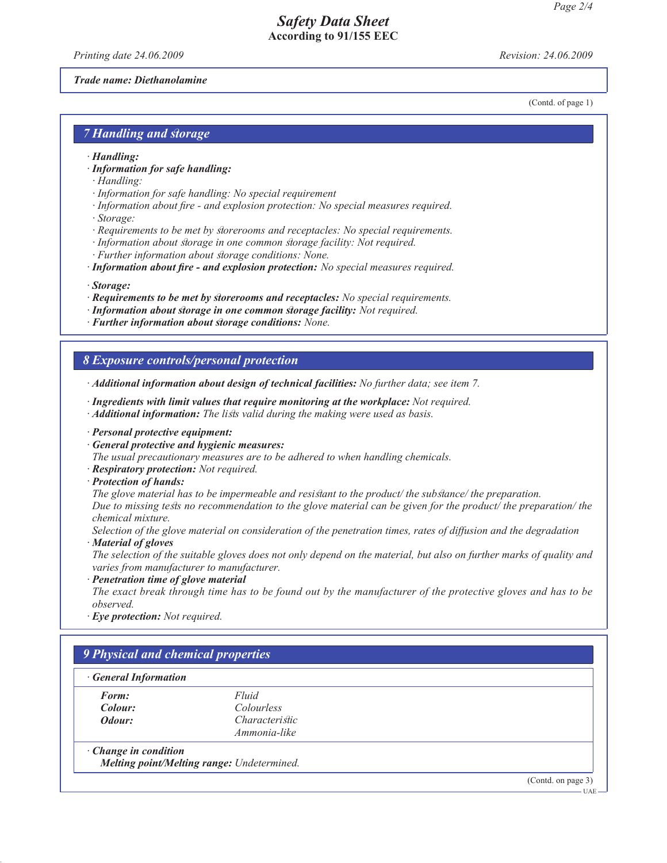*Printing date 24.06.2009 Revision: 24.06.2009*

(Contd. of page 1)

#### *Trade name: Diethanolamine*

*7 Handling and storage*

- *· Handling:*
- *· Information for safe handling:*
- *· Handling:*
- *· Information for safe handling: No special requirement*
- *· Information about fire and explosion protection: No special measures required. · Storage:*
- *· Requirements to be met by storerooms and receptacles: No special requirements.*
- *· Information about storage in one common storage facility: Not required.*
- *· Further information about storage conditions: None.*
- *· Information about fire and explosion protection: No special measures required.*
- *· Storage:*
- *· Requirements to be met by storerooms and receptacles: No special requirements.*
- *· Information about storage in one common storage facility: Not required.*
- *· Further information about storage conditions: None.*

#### *8 Exposure controls/personal protection*

*· Additional information about design of technical facilities: No further data; see item 7.*

- *· Ingredients with limit values that require monitoring at the workplace: Not required.*
- *· Additional information: The lists valid during the making were used as basis.*
- *· Personal protective equipment:*
- *· General protective and hygienic measures:*
- *The usual precautionary measures are to be adhered to when handling chemicals.*
- *· Respiratory protection: Not required.*
- *· Protection of hands:*
- *The glove material has to be impermeable and resistant to the product/ the substance/ the preparation.*

*Due to missing tests no recommendation to the glove material can be given for the product/ the preparation/ the chemical mixture.*

*Selection of the glove material on consideration of the penetration times, rates of diffusion and the degradation*

*· Material of gloves*

*The selection of the suitable gloves does not only depend on the material, but also on further marks of quality and varies from manufacturer to manufacturer.*

*· Penetration time of glove material*

*The exact break through time has to be found out by the manufacturer of the protective gloves and has to be observed.*

*· Eye protection: Not required.*

| <b>General Information</b>  |                                            |  |
|-----------------------------|--------------------------------------------|--|
| Form:                       | Fluid                                      |  |
| Colour:                     | <i>Colourless</i>                          |  |
| Odour:                      | <i>Characteristic</i>                      |  |
|                             | Ammonia-like                               |  |
| $\cdot$ Change in condition |                                            |  |
|                             | Melting point/Melting range: Undetermined. |  |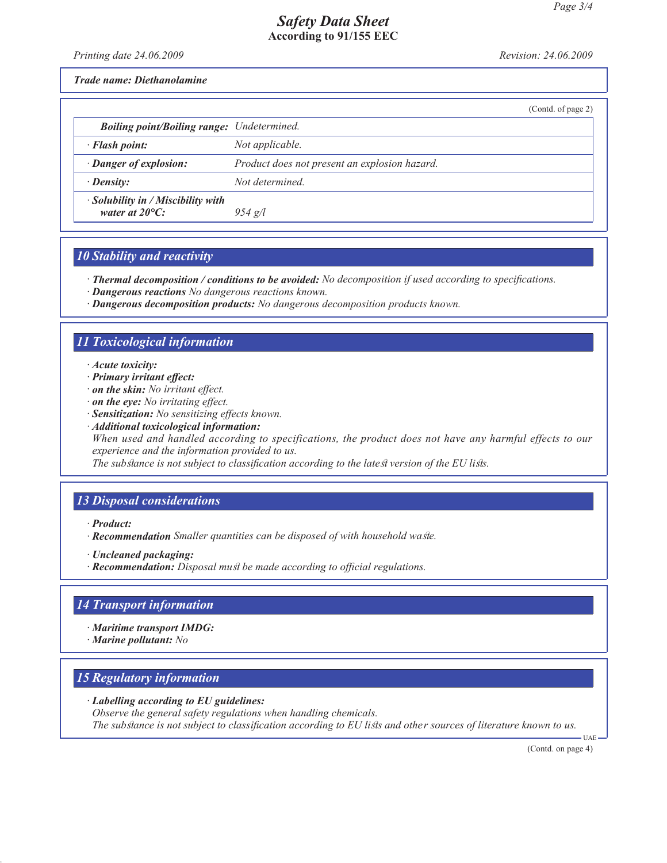*Printing date 24.06.2009 Revision: 24.06.2009*

*Trade name: Diethanolamine*

|                                                                      |                                               | (Contd. of page 2) |
|----------------------------------------------------------------------|-----------------------------------------------|--------------------|
| <b>Boiling point/Boiling range:</b> Undetermined.                    |                                               |                    |
| $\cdot$ Flash point:                                                 | Not applicable.                               |                    |
| · Danger of explosion:                                               | Product does not present an explosion hazard. |                    |
| $\cdot$ Density:                                                     | Not determined                                |                    |
| $\cdot$ Solubility in / Miscibility with<br>water at $20^{\circ}$ C: | $954$ g/l                                     |                    |
|                                                                      |                                               |                    |

#### *10 Stability and reactivity*

*· Thermal decomposition / conditions to be avoided: No decomposition if used according to specifications.*

- *· Dangerous reactions No dangerous reactions known.*
- *· Dangerous decomposition products: No dangerous decomposition products known.*

#### *11 Toxicological information*

- *· Acute toxicity:*
- *· Primary irritant effect:*
- *· on the skin: No irritant effect.*
- *· on the eye: No irritating effect.*
- *· Sensitization: No sensitizing effects known.*
- *· Additional toxicological information:*

*When used and handled according to specifications, the product does not have any harmful effects to our experience and the information provided to us.*

*The substance is not subject to classification according to the latest version of the EU lists.*

# *13 Disposal considerations*

*· Product:*

- *· Recommendation Smaller quantities can be disposed of with household waste.*
- *· Uncleaned packaging:*
- *· Recommendation: Disposal must be made according to official regulations.*

# *14 Transport information*

- *· Maritime transport IMDG:*
- *· Marine pollutant: No*

# *15 Regulatory information*

- *· Labelling according to EU guidelines:*
- *Observe the general safety regulations when handling chemicals. The substance is not subject to classification according to EU lists and other sources of literature known to us.*

(Contd. on page 4)

UAE